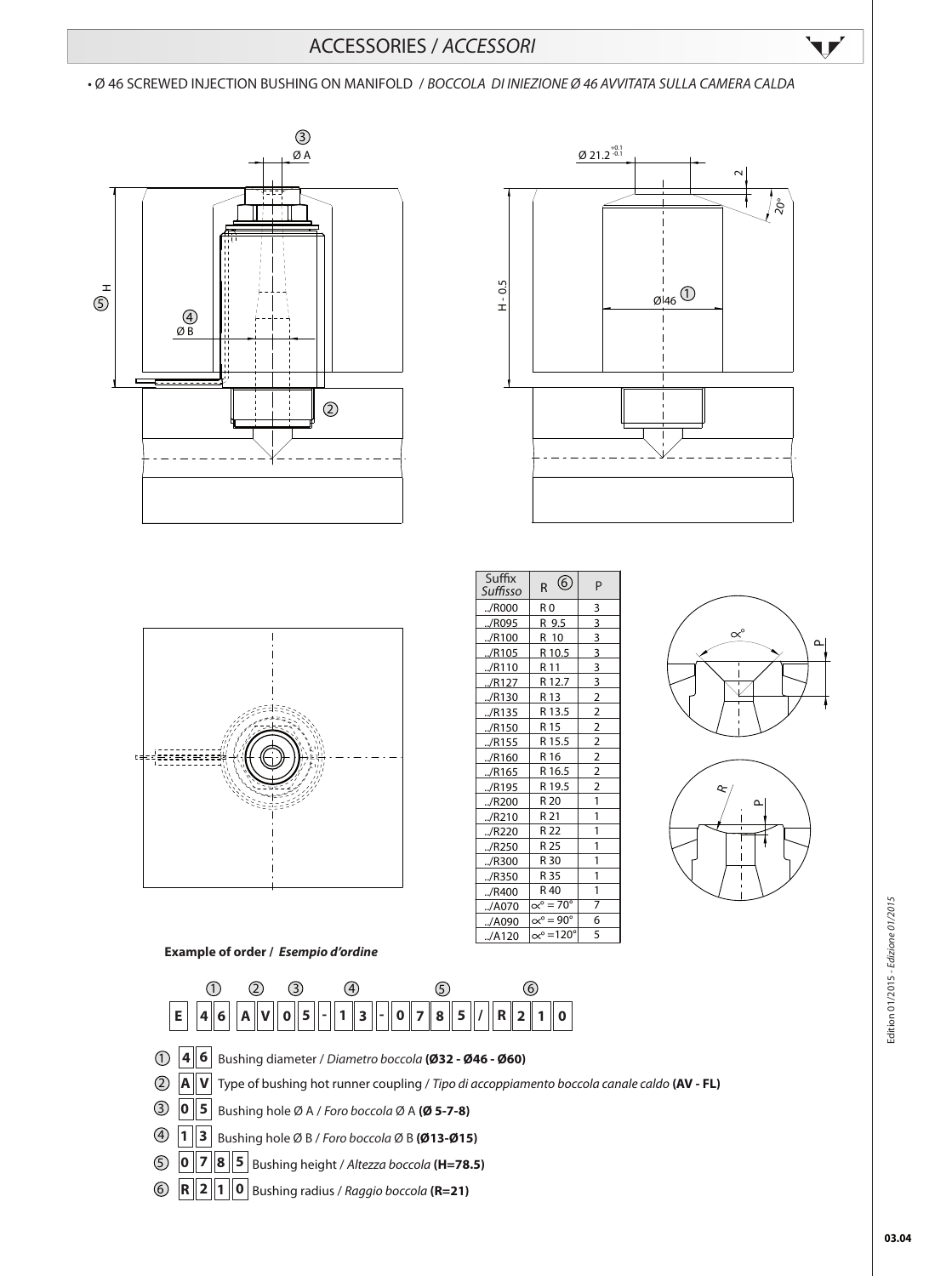## ACCESSORIES / *ACCESSORI*

• Ø 46 SCREWED INJECTION BUSHING ON MANIFOLD / *BOCCOLA DI INIEZIONE Ø 46 AVVITATA SULLA CAMERA CALDA* 











V



**Example of order /** *Esempio d'ordine*



- **4 6** 1 Bushing diameter / *Diametro boccola* **(Ø32 Ø46 Ø60)**
- **A V** 2 Type of bushing hot runner coupling / *Tipo di accoppiamento boccola canale caldo* **(AV - FL)**
- 3 **0 5** Bushing hole Ø A / *Foro boccola* Ø A **(Ø 5-7-8)**
- $\bf{4}$  | 1 | 3 Bushing hole Ø B / *Foro boccola* Ø B **(Ø13-Ø15)**
- **0 7 8 5** 5 Bushing height / *Altezza boccola* **(H=78.5)**
- **R 2 1 0** Bushing radius / *Raggio boccola* **(R=21)** 6